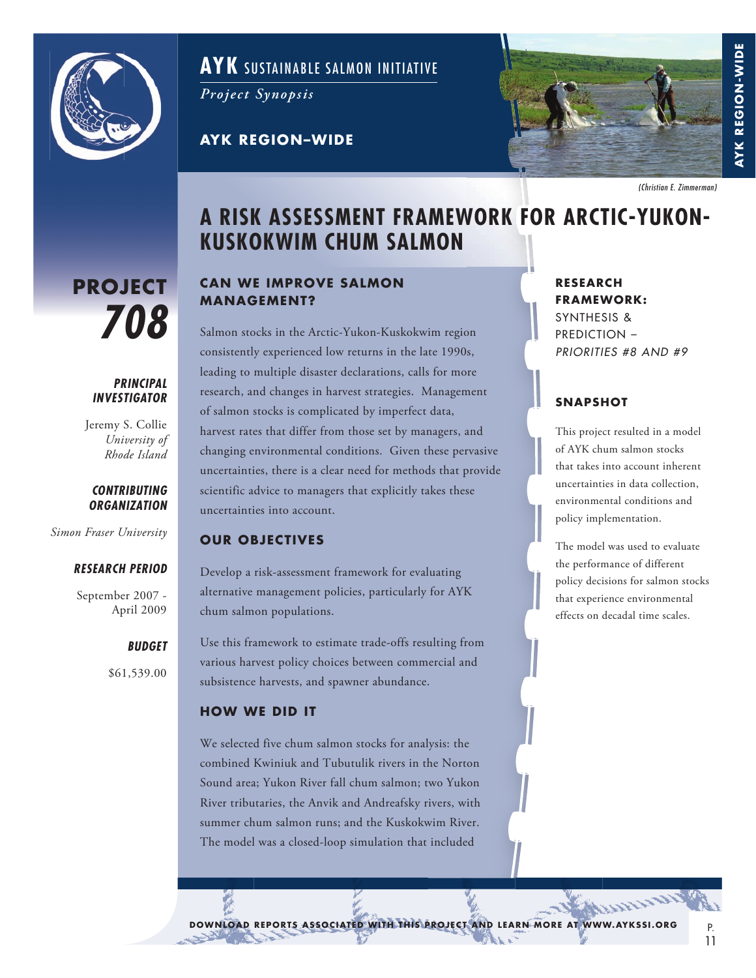

# **AYK** SUSTAINABLE SALMON INITIATIVE

*Project Synopsis*

**AYK REGION-WIDE** 



**BER ING SEA AYK REG ION -W IDE**

**AYK REGION-WIDI** 

# **A RISK ASSESSMENT FRAMEWORK FOR ARCTIC-YUKON-KUSKOKWIM CHUM SALMON**

# **PROJECT** *708*

#### *PRINCIPAL INVESTIGATOR*

Jeremy S. Collie *University of Rhode Island*

#### *CONTRIBUTING ORGANIZATION*

*Simon Fraser University*

#### *RESEARCH PERIOD*

September 2007 - April 2009

#### *BUDGET*

\$61,539.00

## **CAN WE IMPROVE SALMON MANAGEMENT?**

Salmon stocks in the Arctic-Yukon-Kuskokwim region consistently experienced low returns in the late 1990s, leading to multiple disaster declarations, calls for more research, and changes in harvest strategies. Management of salmon stocks is complicated by imperfect data, harvest rates that differ from those set by managers, and changing environmental conditions. Given these pervasive uncertainties, there is a clear need for methods that provide scientific advice to managers that explicitly takes these uncertainties into account.

#### **OUR OBJECTIVES**

Develop a risk-assessment framework for evaluating alternative management policies, particularly for AYK chum salmon populations.

Use this framework to estimate trade-offs resulting from various harvest policy choices between commercial and subsistence harvests, and spawner abundance.

#### **HOW WE DID IT**

We selected five chum salmon stocks for analysis: the combined Kwiniuk and Tubutulik rivers in the Norton Sound area; Yukon River fall chum salmon; two Yukon River tributaries, the Anvik and Andreafsky rivers, with summer chum salmon runs; and the Kuskokwim River. The model was a closed-loop simulation that included

**RESEARCH FRAMEWORK:** SYNTHESIS & PREDICTION – *PRIORITIES #8 AND #9*

### **SNAPSHOT**

This project resulted in a model of AYK chum salmon stocks that takes into account inherent uncertainties in data collection, environmental conditions and policy implementation.

The model was used to evaluate the performance of different policy decisions for salmon stocks that experience environmental effects on decadal time scales.

DOWNLOAD REPORTS ASSOCIATED WITH THIS PROJECT AND LEARN MORE AT WWW.AYKSSI.ORG